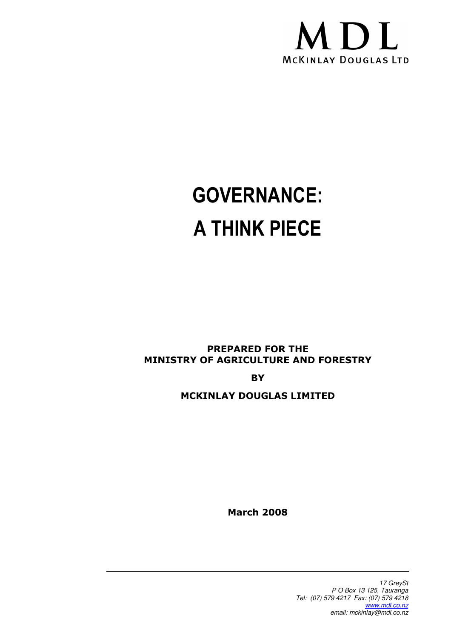

# GOVERNANCE: A THINK PIECE

PREPARED FOR THE MINISTRY OF AGRICULTURE AND FORESTRY

**BY** 

### MCKINLAY DOUGLAS LIMITED

March 2008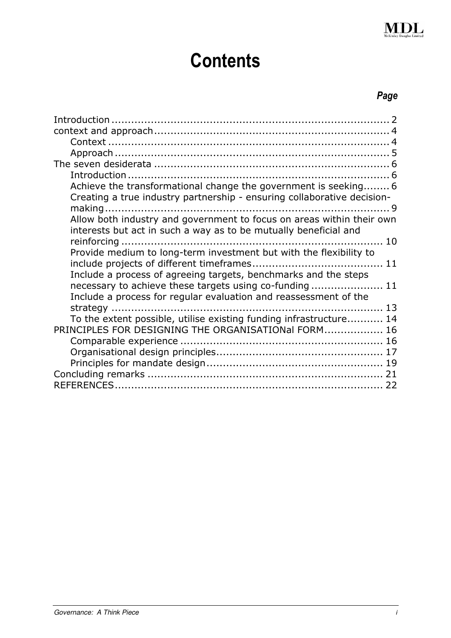

## **Contents**

## Page

| Achieve the transformational change the government is seeking 6<br>Creating a true industry partnership - ensuring collaborative decision- |
|--------------------------------------------------------------------------------------------------------------------------------------------|
| Allow both industry and government to focus on areas within their own<br>interests but act in such a way as to be mutually beneficial and  |
| Provide medium to long-term investment but with the flexibility to                                                                         |
|                                                                                                                                            |
| Include a process of agreeing targets, benchmarks and the steps                                                                            |
| necessary to achieve these targets using co-funding 11<br>Include a process for regular evaluation and reassessment of the                 |
|                                                                                                                                            |
| To the extent possible, utilise existing funding infrastructure 14                                                                         |
| PRINCIPLES FOR DESIGNING THE ORGANISATIONal FORM 16                                                                                        |
|                                                                                                                                            |
|                                                                                                                                            |
|                                                                                                                                            |
| 22                                                                                                                                         |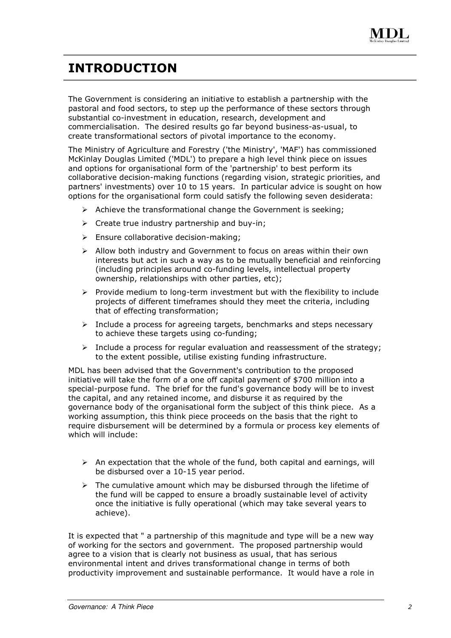

## INTRODUCTION

The Government is considering an initiative to establish a partnership with the pastoral and food sectors, to step up the performance of these sectors through substantial co-investment in education, research, development and commercialisation. The desired results go far beyond business-as-usual, to create transformational sectors of pivotal importance to the economy.

The Ministry of Agriculture and Forestry ('the Ministry', 'MAF') has commissioned McKinlay Douglas Limited ('MDL') to prepare a high level think piece on issues and options for organisational form of the 'partnership' to best perform its collaborative decision-making functions (regarding vision, strategic priorities, and partners' investments) over 10 to 15 years. In particular advice is sought on how options for the organisational form could satisfy the following seven desiderata:

- $\triangleright$  Achieve the transformational change the Government is seeking;
- $\triangleright$  Create true industry partnership and buy-in;
- $\triangleright$  Ensure collaborative decision-making;
- $\triangleright$  Allow both industry and Government to focus on areas within their own interests but act in such a way as to be mutually beneficial and reinforcing (including principles around co-funding levels, intellectual property ownership, relationships with other parties, etc);
- $\triangleright$  Provide medium to long-term investment but with the flexibility to include projects of different timeframes should they meet the criteria, including that of effecting transformation;
- $\triangleright$  Include a process for agreeing targets, benchmarks and steps necessary to achieve these targets using co-funding;
- $\triangleright$  Include a process for regular evaluation and reassessment of the strategy; to the extent possible, utilise existing funding infrastructure.

MDL has been advised that the Government's contribution to the proposed initiative will take the form of a one off capital payment of \$700 million into a special-purpose fund. The brief for the fund's governance body will be to invest the capital, and any retained income, and disburse it as required by the governance body of the organisational form the subject of this think piece. As a working assumption, this think piece proceeds on the basis that the right to require disbursement will be determined by a formula or process key elements of which will include:

- $\triangleright$  An expectation that the whole of the fund, both capital and earnings, will be disbursed over a 10-15 year period.
- $\triangleright$  The cumulative amount which may be disbursed through the lifetime of the fund will be capped to ensure a broadly sustainable level of activity once the initiative is fully operational (which may take several years to achieve).

It is expected that " a partnership of this magnitude and type will be a new way of working for the sectors and government. The proposed partnership would agree to a vision that is clearly not business as usual, that has serious environmental intent and drives transformational change in terms of both productivity improvement and sustainable performance. It would have a role in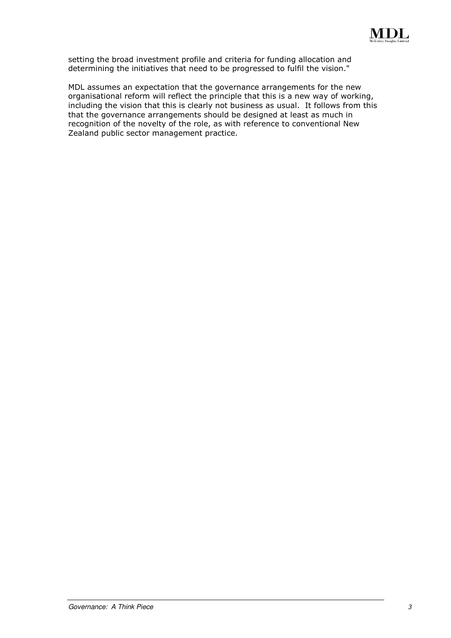

setting the broad investment profile and criteria for funding allocation and determining the initiatives that need to be progressed to fulfil the vision."

MDL assumes an expectation that the governance arrangements for the new organisational reform will reflect the principle that this is a new way of working, including the vision that this is clearly not business as usual. It follows from this that the governance arrangements should be designed at least as much in recognition of the novelty of the role, as with reference to conventional New Zealand public sector management practice.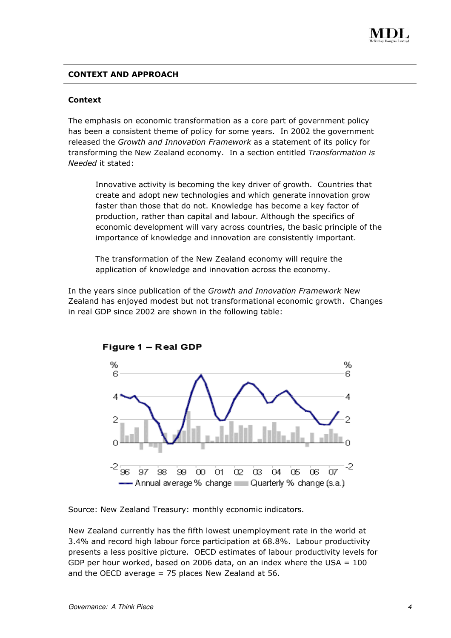

#### CONTEXT AND APPROACH

#### Context

The emphasis on economic transformation as a core part of government policy has been a consistent theme of policy for some years. In 2002 the government released the Growth and Innovation Framework as a statement of its policy for transforming the New Zealand economy. In a section entitled Transformation is Needed it stated:

Innovative activity is becoming the key driver of growth. Countries that create and adopt new technologies and which generate innovation grow faster than those that do not. Knowledge has become a key factor of production, rather than capital and labour. Although the specifics of economic development will vary across countries, the basic principle of the importance of knowledge and innovation are consistently important.

The transformation of the New Zealand economy will require the application of knowledge and innovation across the economy.

In the years since publication of the Growth and Innovation Framework New Zealand has enjoyed modest but not transformational economic growth. Changes in real GDP since 2002 are shown in the following table:



Source: New Zealand Treasury: monthly economic indicators.

New Zealand currently has the fifth lowest unemployment rate in the world at 3.4% and record high labour force participation at 68.8%. Labour productivity presents a less positive picture. OECD estimates of labour productivity levels for GDP per hour worked, based on 2006 data, on an index where the USA = 100 and the OECD average  $= 75$  places New Zealand at 56.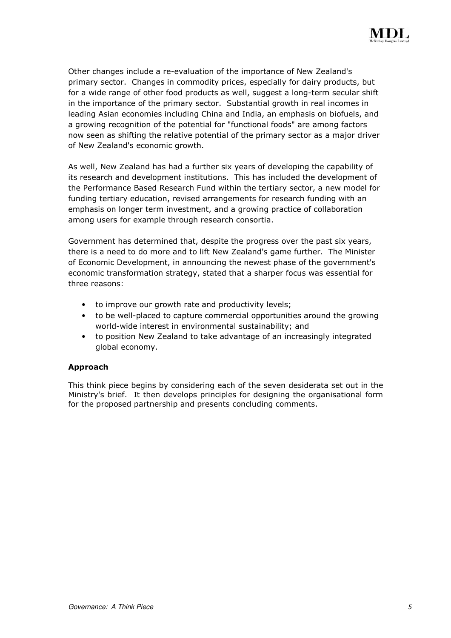

Other changes include a re-evaluation of the importance of New Zealand's primary sector. Changes in commodity prices, especially for dairy products, but for a wide range of other food products as well, suggest a long-term secular shift in the importance of the primary sector. Substantial growth in real incomes in leading Asian economies including China and India, an emphasis on biofuels, and a growing recognition of the potential for "functional foods" are among factors now seen as shifting the relative potential of the primary sector as a major driver of New Zealand's economic growth.

As well, New Zealand has had a further six years of developing the capability of its research and development institutions. This has included the development of the Performance Based Research Fund within the tertiary sector, a new model for funding tertiary education, revised arrangements for research funding with an emphasis on longer term investment, and a growing practice of collaboration among users for example through research consortia.

Government has determined that, despite the progress over the past six years, there is a need to do more and to lift New Zealand's game further. The Minister of Economic Development, in announcing the newest phase of the government's economic transformation strategy, stated that a sharper focus was essential for three reasons:

- to improve our growth rate and productivity levels;
- to be well-placed to capture commercial opportunities around the growing world-wide interest in environmental sustainability; and
- to position New Zealand to take advantage of an increasingly integrated global economy.

#### Approach

This think piece begins by considering each of the seven desiderata set out in the Ministry's brief. It then develops principles for designing the organisational form for the proposed partnership and presents concluding comments.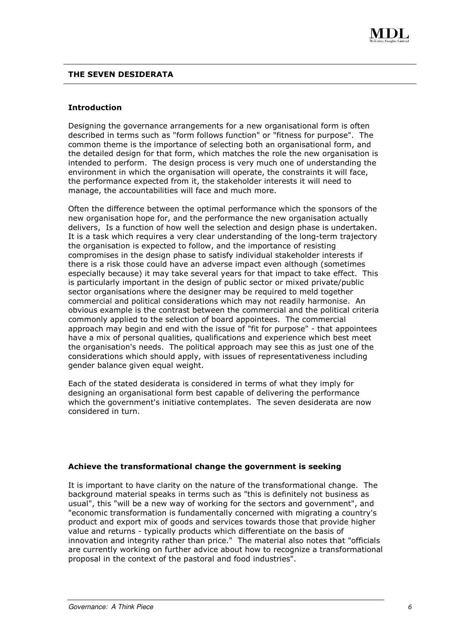#### THE SEVEN DESIDERATA

#### Introduction

Designing the governance arrangements for a new organisational form is often described in terms such as "form follows function" or "fitness for purpose". The common theme is the importance of selecting both an organisational form, and the detailed design for that form, which matches the role the new organisation is intended to perform. The design process is very much one of understanding the environment in which the organisation will operate, the constraints it will face, the performance expected from it, the stakeholder interests it will need to manage, the accountabilities will face and much more.

Often the difference between the optimal performance which the sponsors of the new organisation hope for, and the performance the new organisation actually delivers, Is a function of how well the selection and design phase is undertaken. It is a task which requires a very clear understanding of the long-term trajectory the organisation is expected to follow, and the importance of resisting compromises in the design phase to satisfy individual stakeholder interests if there is a risk those could have an adverse impact even although (sometimes especially because) it may take several years for that impact to take effect. This is particularly important in the design of public sector or mixed private/public sector organisations where the designer may be required to meld together commercial and political considerations which may not readily harmonise. An obvious example is the contrast between the commercial and the political criteria commonly applied to the selection of board appointees. The commercial approach may begin and end with the issue of "fit for purpose" - that appointees have a mix of personal qualities, qualifications and experience which best meet the organisation's needs. The political approach may see this as just one of the considerations which should apply, with issues of representativeness including gender balance given equal weight.

Each of the stated desiderata is considered in terms of what they imply for designing an organisational form best capable of delivering the performance which the government's initiative contemplates. The seven desiderata are now considered in turn.

#### Achieve the transformational change the government is seeking

It is important to have clarity on the nature of the transformational change. The background material speaks in terms such as "this is definitely not business as usual", this "will be a new way of working for the sectors and government", and "economic transformation is fundamentally concerned with migrating a country's product and export mix of goods and services towards those that provide higher value and returns - typically products which differentiate on the basis of innovation and integrity rather than price." The material also notes that "officials are currently working on further advice about how to recognize a transformational proposal in the context of the pastoral and food industries".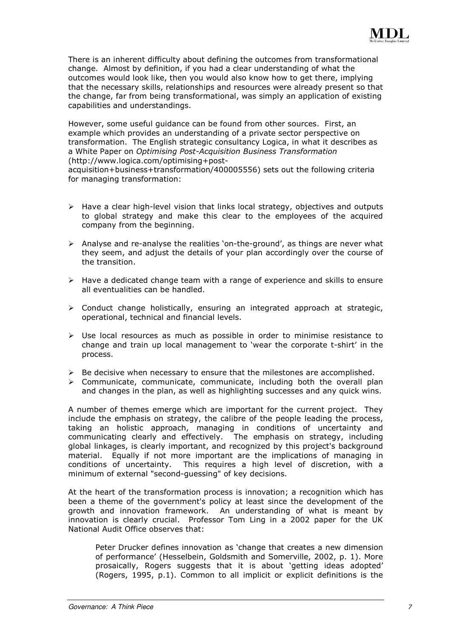There is an inherent difficulty about defining the outcomes from transformational change. Almost by definition, if you had a clear understanding of what the outcomes would look like, then you would also know how to get there, implying that the necessary skills, relationships and resources were already present so that the change, far from being transformational, was simply an application of existing capabilities and understandings.

However, some useful guidance can be found from other sources. First, an example which provides an understanding of a private sector perspective on transformation. The English strategic consultancy Logica, in what it describes as a White Paper on Optimising Post-Acquisition Business Transformation (http://www.logica.com/optimising+post-

acquisition+business+transformation/400005556) sets out the following criteria for managing transformation:

- $\triangleright$  Have a clear high-level vision that links local strategy, objectives and outputs to global strategy and make this clear to the employees of the acquired company from the beginning.
- Analyse and re-analyse the realities 'on-the-ground', as things are never what they seem, and adjust the details of your plan accordingly over the course of the transition.
- $\triangleright$  Have a dedicated change team with a range of experience and skills to ensure all eventualities can be handled.
- $\triangleright$  Conduct change holistically, ensuring an integrated approach at strategic, operational, technical and financial levels.
- $\triangleright$  Use local resources as much as possible in order to minimise resistance to change and train up local management to 'wear the corporate t-shirt' in the process.
- $\triangleright$  Be decisive when necessary to ensure that the milestones are accomplished.
- $\triangleright$  Communicate, communicate, communicate, including both the overall plan and changes in the plan, as well as highlighting successes and any quick wins.

A number of themes emerge which are important for the current project. They include the emphasis on strategy, the calibre of the people leading the process, taking an holistic approach, managing in conditions of uncertainty and communicating clearly and effectively. The emphasis on strategy, including global linkages, is clearly important, and recognized by this project's background material. Equally if not more important are the implications of managing in conditions of uncertainty. This requires a high level of discretion, with a minimum of external "second-guessing" of key decisions.

At the heart of the transformation process is innovation; a recognition which has been a theme of the government's policy at least since the development of the growth and innovation framework. An understanding of what is meant by innovation is clearly crucial. Professor Tom Ling in a 2002 paper for the UK National Audit Office observes that:

Peter Drucker defines innovation as 'change that creates a new dimension of performance' (Hesselbein, Goldsmith and Somerville, 2002, p. 1). More prosaically, Rogers suggests that it is about 'getting ideas adopted' (Rogers, 1995, p.1). Common to all implicit or explicit definitions is the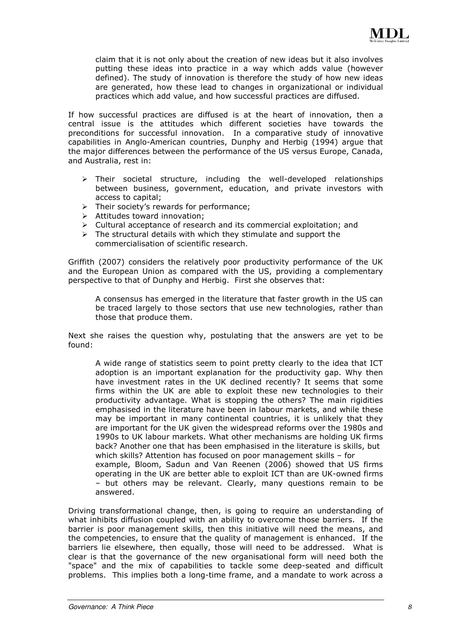claim that it is not only about the creation of new ideas but it also involves putting these ideas into practice in a way which adds value (however defined). The study of innovation is therefore the study of how new ideas are generated, how these lead to changes in organizational or individual practices which add value, and how successful practices are diffused.

If how successful practices are diffused is at the heart of innovation, then a central issue is the attitudes which different societies have towards the preconditions for successful innovation. In a comparative study of innovative capabilities in Anglo-American countries, Dunphy and Herbig (1994) argue that the major differences between the performance of the US versus Europe, Canada, and Australia, rest in:

- $\triangleright$  Their societal structure, including the well-developed relationships between business, government, education, and private investors with access to capital;
- $\triangleright$  Their society's rewards for performance;
- Attitudes toward innovation;
- $\triangleright$  Cultural acceptance of research and its commercial exploitation; and
- $\triangleright$  The structural details with which they stimulate and support the commercialisation of scientific research.

Griffith (2007) considers the relatively poor productivity performance of the UK and the European Union as compared with the US, providing a complementary perspective to that of Dunphy and Herbig. First she observes that:

A consensus has emerged in the literature that faster growth in the US can be traced largely to those sectors that use new technologies, rather than those that produce them.

Next she raises the question why, postulating that the answers are yet to be found:

A wide range of statistics seem to point pretty clearly to the idea that ICT adoption is an important explanation for the productivity gap. Why then have investment rates in the UK declined recently? It seems that some firms within the UK are able to exploit these new technologies to their productivity advantage. What is stopping the others? The main rigidities emphasised in the literature have been in labour markets, and while these may be important in many continental countries, it is unlikely that they are important for the UK given the widespread reforms over the 1980s and 1990s to UK labour markets. What other mechanisms are holding UK firms back? Another one that has been emphasised in the literature is skills, but which skills? Attention has focused on poor management skills – for example, Bloom, Sadun and Van Reenen (2006) showed that US firms operating in the UK are better able to exploit ICT than are UK-owned firms – but others may be relevant. Clearly, many questions remain to be answered.

Driving transformational change, then, is going to require an understanding of what inhibits diffusion coupled with an ability to overcome those barriers. If the barrier is poor management skills, then this initiative will need the means, and the competencies, to ensure that the quality of management is enhanced. If the barriers lie elsewhere, then equally, those will need to be addressed. What is clear is that the governance of the new organisational form will need both the "space" and the mix of capabilities to tackle some deep-seated and difficult problems. This implies both a long-time frame, and a mandate to work across a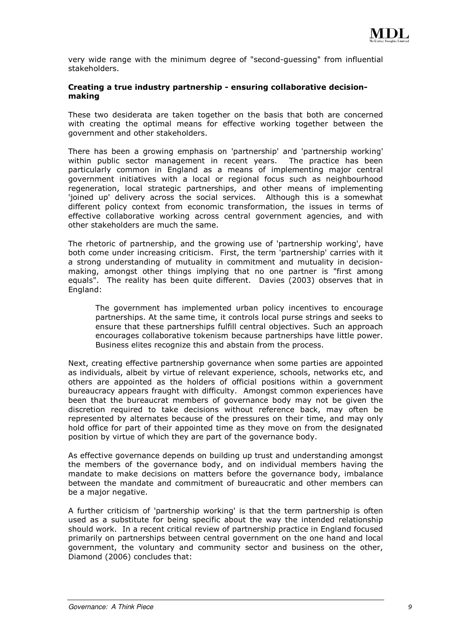very wide range with the minimum degree of "second-guessing" from influential stakeholders.

#### Creating a true industry partnership - ensuring collaborative decisionmaking

These two desiderata are taken together on the basis that both are concerned with creating the optimal means for effective working together between the government and other stakeholders.

There has been a growing emphasis on 'partnership' and 'partnership working' within public sector management in recent years. The practice has been particularly common in England as a means of implementing major central government initiatives with a local or regional focus such as neighbourhood regeneration, local strategic partnerships, and other means of implementing 'joined up' delivery across the social services. Although this is a somewhat different policy context from economic transformation, the issues in terms of effective collaborative working across central government agencies, and with other stakeholders are much the same.

The rhetoric of partnership, and the growing use of 'partnership working', have both come under increasing criticism. First, the term 'partnership' carries with it a strong understanding of mutuality in commitment and mutuality in decisionmaking, amongst other things implying that no one partner is "first among equals". The reality has been quite different. Davies (2003) observes that in England:

The government has implemented urban policy incentives to encourage partnerships. At the same time, it controls local purse strings and seeks to ensure that these partnerships fulfill central objectives. Such an approach encourages collaborative tokenism because partnerships have little power. Business elites recognize this and abstain from the process.

Next, creating effective partnership governance when some parties are appointed as individuals, albeit by virtue of relevant experience, schools, networks etc, and others are appointed as the holders of official positions within a government bureaucracy appears fraught with difficulty. Amongst common experiences have been that the bureaucrat members of governance body may not be given the discretion required to take decisions without reference back, may often be represented by alternates because of the pressures on their time, and may only hold office for part of their appointed time as they move on from the designated position by virtue of which they are part of the governance body.

As effective governance depends on building up trust and understanding amongst the members of the governance body, and on individual members having the mandate to make decisions on matters before the governance body, imbalance between the mandate and commitment of bureaucratic and other members can be a major negative.

A further criticism of 'partnership working' is that the term partnership is often used as a substitute for being specific about the way the intended relationship should work. In a recent critical review of partnership practice in England focused primarily on partnerships between central government on the one hand and local government, the voluntary and community sector and business on the other, Diamond (2006) concludes that: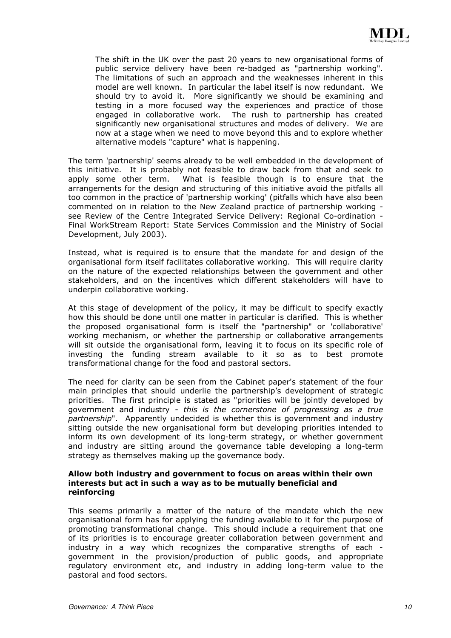The shift in the UK over the past 20 years to new organisational forms of public service delivery have been re-badged as "partnership working". The limitations of such an approach and the weaknesses inherent in this model are well known. In particular the label itself is now redundant. We should try to avoid it. More significantly we should be examining and testing in a more focused way the experiences and practice of those engaged in collaborative work. The rush to partnership has created significantly new organisational structures and modes of delivery. We are now at a stage when we need to move beyond this and to explore whether alternative models "capture" what is happening.

The term 'partnership' seems already to be well embedded in the development of this initiative. It is probably not feasible to draw back from that and seek to apply some other term. What is feasible though is to ensure that the arrangements for the design and structuring of this initiative avoid the pitfalls all too common in the practice of 'partnership working' (pitfalls which have also been commented on in relation to the New Zealand practice of partnership working see Review of the Centre Integrated Service Delivery: Regional Co-ordination - Final WorkStream Report: State Services Commission and the Ministry of Social Development, July 2003).

Instead, what is required is to ensure that the mandate for and design of the organisational form itself facilitates collaborative working. This will require clarity on the nature of the expected relationships between the government and other stakeholders, and on the incentives which different stakeholders will have to underpin collaborative working.

At this stage of development of the policy, it may be difficult to specify exactly how this should be done until one matter in particular is clarified. This is whether the proposed organisational form is itself the "partnership" or 'collaborative' working mechanism, or whether the partnership or collaborative arrangements will sit outside the organisational form, leaving it to focus on its specific role of investing the funding stream available to it so as to best promote transformational change for the food and pastoral sectors.

The need for clarity can be seen from the Cabinet paper's statement of the four main principles that should underlie the partnership's development of strategic priorities. The first principle is stated as "priorities will be jointly developed by government and industry - this is the cornerstone of progressing as a true partnership". Apparently undecided is whether this is government and industry sitting outside the new organisational form but developing priorities intended to inform its own development of its long-term strategy, or whether government and industry are sitting around the governance table developing a long-term strategy as themselves making up the governance body.

#### Allow both industry and government to focus on areas within their own interests but act in such a way as to be mutually beneficial and reinforcing

This seems primarily a matter of the nature of the mandate which the new organisational form has for applying the funding available to it for the purpose of promoting transformational change. This should include a requirement that one of its priorities is to encourage greater collaboration between government and industry in a way which recognizes the comparative strengths of each government in the provision/production of public goods, and appropriate regulatory environment etc, and industry in adding long-term value to the pastoral and food sectors.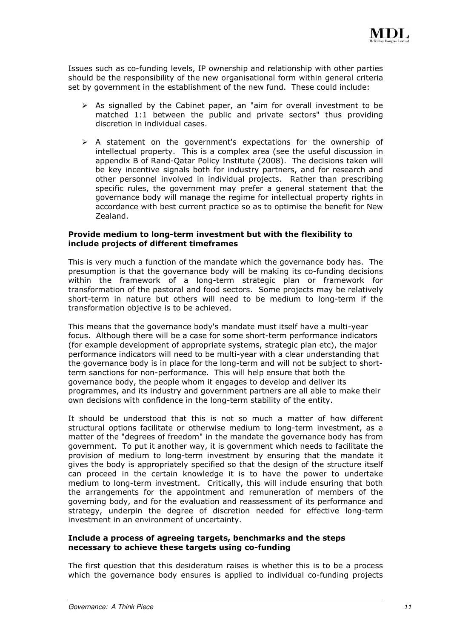Issues such as co-funding levels, IP ownership and relationship with other parties should be the responsibility of the new organisational form within general criteria set by government in the establishment of the new fund. These could include:

- $\triangleright$  As signalled by the Cabinet paper, an "aim for overall investment to be matched 1:1 between the public and private sectors" thus providing discretion in individual cases.
- $\triangleright$  A statement on the government's expectations for the ownership of intellectual property. This is a complex area (see the useful discussion in appendix B of Rand-Qatar Policy Institute (2008). The decisions taken will be key incentive signals both for industry partners, and for research and other personnel involved in individual projects. Rather than prescribing specific rules, the government may prefer a general statement that the governance body will manage the regime for intellectual property rights in accordance with best current practice so as to optimise the benefit for New Zealand.

#### Provide medium to long-term investment but with the flexibility to include projects of different timeframes

This is very much a function of the mandate which the governance body has. The presumption is that the governance body will be making its co-funding decisions within the framework of a long-term strategic plan or framework for transformation of the pastoral and food sectors. Some projects may be relatively short-term in nature but others will need to be medium to long-term if the transformation objective is to be achieved.

This means that the governance body's mandate must itself have a multi-year focus. Although there will be a case for some short-term performance indicators (for example development of appropriate systems, strategic plan etc), the major performance indicators will need to be multi-year with a clear understanding that the governance body is in place for the long-term and will not be subject to shortterm sanctions for non-performance. This will help ensure that both the governance body, the people whom it engages to develop and deliver its programmes, and its industry and government partners are all able to make their own decisions with confidence in the long-term stability of the entity.

It should be understood that this is not so much a matter of how different structural options facilitate or otherwise medium to long-term investment, as a matter of the "degrees of freedom" in the mandate the governance body has from government. To put it another way, it is government which needs to facilitate the provision of medium to long-term investment by ensuring that the mandate it gives the body is appropriately specified so that the design of the structure itself can proceed in the certain knowledge it is to have the power to undertake medium to long-term investment. Critically, this will include ensuring that both the arrangements for the appointment and remuneration of members of the governing body, and for the evaluation and reassessment of its performance and strategy, underpin the degree of discretion needed for effective long-term investment in an environment of uncertainty.

#### Include a process of agreeing targets, benchmarks and the steps necessary to achieve these targets using co-funding

The first question that this desideratum raises is whether this is to be a process which the governance body ensures is applied to individual co-funding projects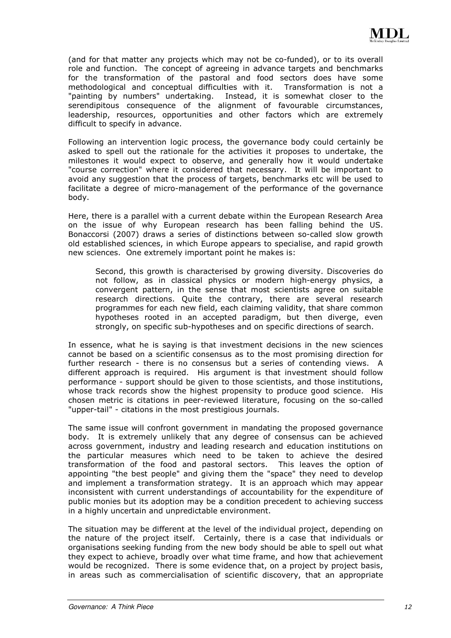(and for that matter any projects which may not be co-funded), or to its overall role and function. The concept of agreeing in advance targets and benchmarks for the transformation of the pastoral and food sectors does have some methodological and conceptual difficulties with it. Transformation is not a "painting by numbers" undertaking. Instead, it is somewhat closer to the serendipitous consequence of the alignment of favourable circumstances, leadership, resources, opportunities and other factors which are extremely difficult to specify in advance.

Following an intervention logic process, the governance body could certainly be asked to spell out the rationale for the activities it proposes to undertake, the milestones it would expect to observe, and generally how it would undertake "course correction" where it considered that necessary. It will be important to avoid any suggestion that the process of targets, benchmarks etc will be used to facilitate a degree of micro-management of the performance of the governance body.

Here, there is a parallel with a current debate within the European Research Area on the issue of why European research has been falling behind the US. Bonaccorsi (2007) draws a series of distinctions between so-called slow growth old established sciences, in which Europe appears to specialise, and rapid growth new sciences. One extremely important point he makes is:

Second, this growth is characterised by growing diversity. Discoveries do not follow, as in classical physics or modern high-energy physics, a convergent pattern, in the sense that most scientists agree on suitable research directions. Quite the contrary, there are several research programmes for each new field, each claiming validity, that share common hypotheses rooted in an accepted paradigm, but then diverge, even strongly, on specific sub-hypotheses and on specific directions of search.

In essence, what he is saying is that investment decisions in the new sciences cannot be based on a scientific consensus as to the most promising direction for further research - there is no consensus but a series of contending views. A different approach is required. His argument is that investment should follow performance - support should be given to those scientists, and those institutions, whose track records show the highest propensity to produce good science. His chosen metric is citations in peer-reviewed literature, focusing on the so-called "upper-tail" - citations in the most prestigious journals.

The same issue will confront government in mandating the proposed governance body. It is extremely unlikely that any degree of consensus can be achieved across government, industry and leading research and education institutions on the particular measures which need to be taken to achieve the desired transformation of the food and pastoral sectors. This leaves the option of appointing "the best people" and giving them the "space" they need to develop and implement a transformation strategy. It is an approach which may appear inconsistent with current understandings of accountability for the expenditure of public monies but its adoption may be a condition precedent to achieving success in a highly uncertain and unpredictable environment.

The situation may be different at the level of the individual project, depending on the nature of the project itself. Certainly, there is a case that individuals or organisations seeking funding from the new body should be able to spell out what they expect to achieve, broadly over what time frame, and how that achievement would be recognized. There is some evidence that, on a project by project basis, in areas such as commercialisation of scientific discovery, that an appropriate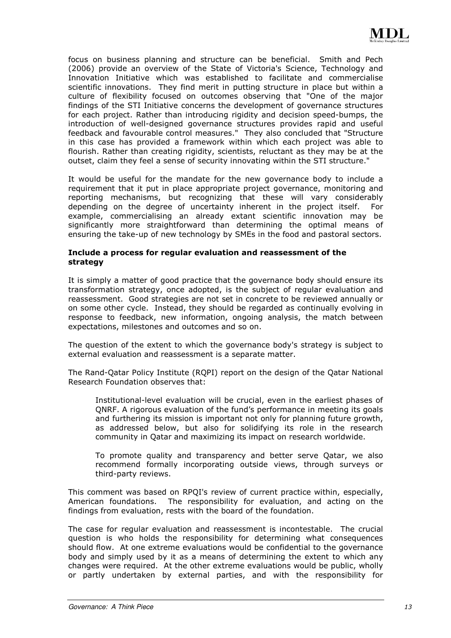focus on business planning and structure can be beneficial. Smith and Pech (2006) provide an overview of the State of Victoria's Science, Technology and Innovation Initiative which was established to facilitate and commercialise scientific innovations. They find merit in putting structure in place but within a culture of flexibility focused on outcomes observing that "One of the major findings of the STI Initiative concerns the development of governance structures for each project. Rather than introducing rigidity and decision speed-bumps, the introduction of well-designed governance structures provides rapid and useful feedback and favourable control measures." They also concluded that "Structure in this case has provided a framework within which each project was able to flourish. Rather than creating rigidity, scientists, reluctant as they may be at the outset, claim they feel a sense of security innovating within the STI structure."

It would be useful for the mandate for the new governance body to include a requirement that it put in place appropriate project governance, monitoring and reporting mechanisms, but recognizing that these will vary considerably depending on the degree of uncertainty inherent in the project itself. For example, commercialising an already extant scientific innovation may be significantly more straightforward than determining the optimal means of ensuring the take-up of new technology by SMEs in the food and pastoral sectors.

#### Include a process for regular evaluation and reassessment of the strategy

It is simply a matter of good practice that the governance body should ensure its transformation strategy, once adopted, is the subject of regular evaluation and reassessment. Good strategies are not set in concrete to be reviewed annually or on some other cycle. Instead, they should be regarded as continually evolving in response to feedback, new information, ongoing analysis, the match between expectations, milestones and outcomes and so on.

The question of the extent to which the governance body's strategy is subject to external evaluation and reassessment is a separate matter.

The Rand-Qatar Policy Institute (RQPI) report on the design of the Qatar National Research Foundation observes that:

Institutional-level evaluation will be crucial, even in the earliest phases of QNRF. A rigorous evaluation of the fund's performance in meeting its goals and furthering its mission is important not only for planning future growth, as addressed below, but also for solidifying its role in the research community in Qatar and maximizing its impact on research worldwide.

To promote quality and transparency and better serve Qatar, we also recommend formally incorporating outside views, through surveys or third-party reviews.

This comment was based on RPQI's review of current practice within, especially, American foundations. The responsibility for evaluation, and acting on the findings from evaluation, rests with the board of the foundation.

The case for regular evaluation and reassessment is incontestable. The crucial question is who holds the responsibility for determining what consequences should flow. At one extreme evaluations would be confidential to the governance body and simply used by it as a means of determining the extent to which any changes were required. At the other extreme evaluations would be public, wholly or partly undertaken by external parties, and with the responsibility for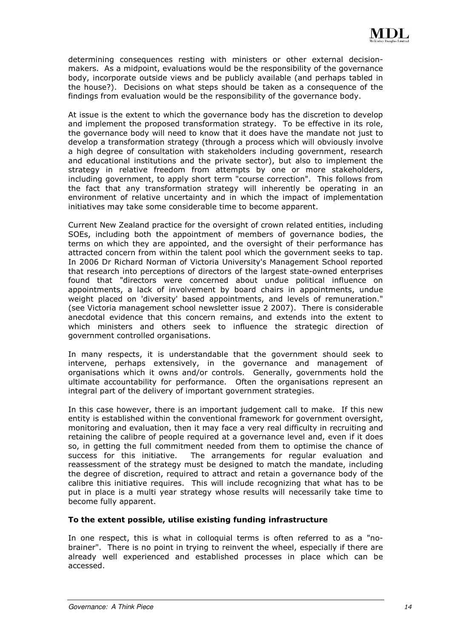determining consequences resting with ministers or other external decisionmakers. As a midpoint, evaluations would be the responsibility of the governance body, incorporate outside views and be publicly available (and perhaps tabled in the house?). Decisions on what steps should be taken as a consequence of the findings from evaluation would be the responsibility of the governance body.

At issue is the extent to which the governance body has the discretion to develop and implement the proposed transformation strategy. To be effective in its role, the governance body will need to know that it does have the mandate not just to develop a transformation strategy (through a process which will obviously involve a high degree of consultation with stakeholders including government, research and educational institutions and the private sector), but also to implement the strategy in relative freedom from attempts by one or more stakeholders, including government, to apply short term "course correction". This follows from the fact that any transformation strategy will inherently be operating in an environment of relative uncertainty and in which the impact of implementation initiatives may take some considerable time to become apparent.

Current New Zealand practice for the oversight of crown related entities, including SOEs, including both the appointment of members of governance bodies, the terms on which they are appointed, and the oversight of their performance has attracted concern from within the talent pool which the government seeks to tap. In 2006 Dr Richard Norman of Victoria University's Management School reported that research into perceptions of directors of the largest state-owned enterprises found that "directors were concerned about undue political influence on appointments, a lack of involvement by board chairs in appointments, undue weight placed on 'diversity' based appointments, and levels of remuneration." (see Victoria management school newsletter issue 2 2007). There is considerable anecdotal evidence that this concern remains, and extends into the extent to which ministers and others seek to influence the strategic direction of government controlled organisations.

In many respects, it is understandable that the government should seek to intervene, perhaps extensively, in the governance and management of organisations which it owns and/or controls. Generally, governments hold the ultimate accountability for performance. Often the organisations represent an integral part of the delivery of important government strategies.

In this case however, there is an important judgement call to make. If this new entity is established within the conventional framework for government oversight, monitoring and evaluation, then it may face a very real difficulty in recruiting and retaining the calibre of people required at a governance level and, even if it does so, in getting the full commitment needed from them to optimise the chance of success for this initiative. The arrangements for regular evaluation and reassessment of the strategy must be designed to match the mandate, including the degree of discretion, required to attract and retain a governance body of the calibre this initiative requires. This will include recognizing that what has to be put in place is a multi year strategy whose results will necessarily take time to become fully apparent.

#### To the extent possible, utilise existing funding infrastructure

In one respect, this is what in colloquial terms is often referred to as a "nobrainer". There is no point in trying to reinvent the wheel, especially if there are already well experienced and established processes in place which can be accessed.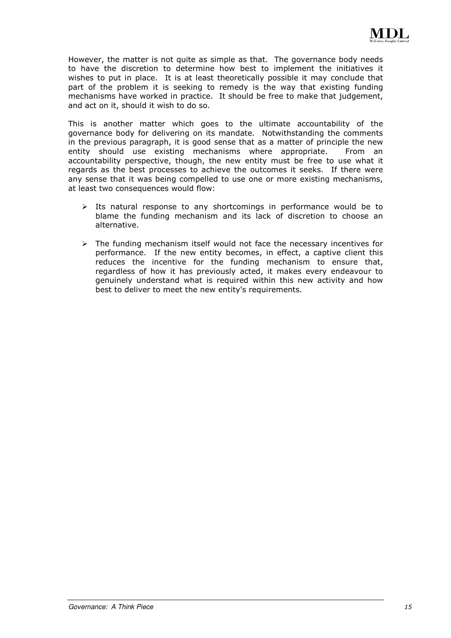However, the matter is not quite as simple as that. The governance body needs to have the discretion to determine how best to implement the initiatives it wishes to put in place. It is at least theoretically possible it may conclude that part of the problem it is seeking to remedy is the way that existing funding mechanisms have worked in practice. It should be free to make that judgement, and act on it, should it wish to do so.

This is another matter which goes to the ultimate accountability of the governance body for delivering on its mandate. Notwithstanding the comments in the previous paragraph, it is good sense that as a matter of principle the new entity should use existing mechanisms where appropriate. From an accountability perspective, though, the new entity must be free to use what it regards as the best processes to achieve the outcomes it seeks. If there were any sense that it was being compelled to use one or more existing mechanisms, at least two consequences would flow:

- $\triangleright$  Its natural response to any shortcomings in performance would be to blame the funding mechanism and its lack of discretion to choose an alternative.
- $\triangleright$  The funding mechanism itself would not face the necessary incentives for performance. If the new entity becomes, in effect, a captive client this reduces the incentive for the funding mechanism to ensure that, regardless of how it has previously acted, it makes every endeavour to genuinely understand what is required within this new activity and how best to deliver to meet the new entity's requirements.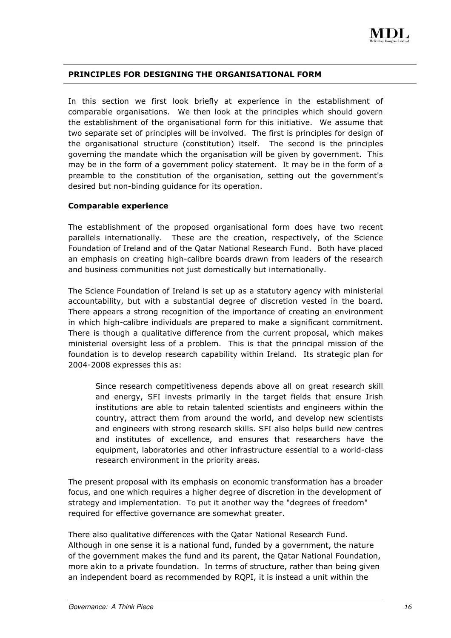#### PRINCIPLES FOR DESIGNING THE ORGANISATIONAL FORM

In this section we first look briefly at experience in the establishment of comparable organisations. We then look at the principles which should govern the establishment of the organisational form for this initiative. We assume that two separate set of principles will be involved. The first is principles for design of the organisational structure (constitution) itself. The second is the principles governing the mandate which the organisation will be given by government. This may be in the form of a government policy statement. It may be in the form of a preamble to the constitution of the organisation, setting out the government's desired but non-binding guidance for its operation.

#### Comparable experience

The establishment of the proposed organisational form does have two recent parallels internationally. These are the creation, respectively, of the Science Foundation of Ireland and of the Qatar National Research Fund. Both have placed an emphasis on creating high-calibre boards drawn from leaders of the research and business communities not just domestically but internationally.

The Science Foundation of Ireland is set up as a statutory agency with ministerial accountability, but with a substantial degree of discretion vested in the board. There appears a strong recognition of the importance of creating an environment in which high-calibre individuals are prepared to make a significant commitment. There is though a qualitative difference from the current proposal, which makes ministerial oversight less of a problem. This is that the principal mission of the foundation is to develop research capability within Ireland. Its strategic plan for 2004-2008 expresses this as:

Since research competitiveness depends above all on great research skill and energy, SFI invests primarily in the target fields that ensure Irish institutions are able to retain talented scientists and engineers within the country, attract them from around the world, and develop new scientists and engineers with strong research skills. SFI also helps build new centres and institutes of excellence, and ensures that researchers have the equipment, laboratories and other infrastructure essential to a world-class research environment in the priority areas.

The present proposal with its emphasis on economic transformation has a broader focus, and one which requires a higher degree of discretion in the development of strategy and implementation. To put it another way the "degrees of freedom" required for effective governance are somewhat greater.

There also qualitative differences with the Qatar National Research Fund. Although in one sense it is a national fund, funded by a government, the nature of the government makes the fund and its parent, the Qatar National Foundation, more akin to a private foundation. In terms of structure, rather than being given an independent board as recommended by RQPI, it is instead a unit within the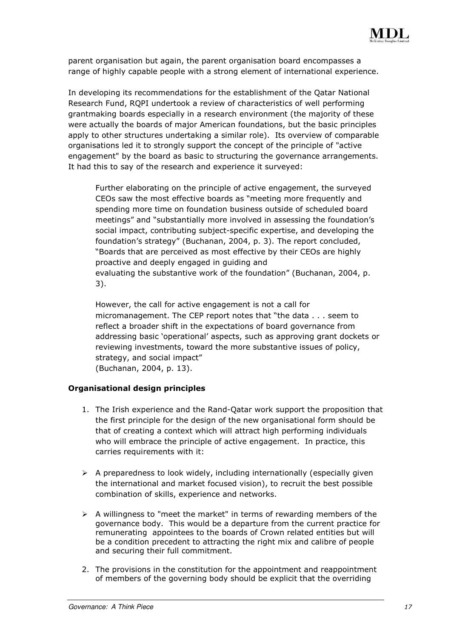parent organisation but again, the parent organisation board encompasses a range of highly capable people with a strong element of international experience.

In developing its recommendations for the establishment of the Qatar National Research Fund, RQPI undertook a review of characteristics of well performing grantmaking boards especially in a research environment (the majority of these were actually the boards of major American foundations, but the basic principles apply to other structures undertaking a similar role). Its overview of comparable organisations led it to strongly support the concept of the principle of "active engagement" by the board as basic to structuring the governance arrangements. It had this to say of the research and experience it surveyed:

Further elaborating on the principle of active engagement, the surveyed CEOs saw the most effective boards as "meeting more frequently and spending more time on foundation business outside of scheduled board meetings" and "substantially more involved in assessing the foundation's social impact, contributing subject-specific expertise, and developing the foundation's strategy" (Buchanan, 2004, p. 3). The report concluded, "Boards that are perceived as most effective by their CEOs are highly proactive and deeply engaged in guiding and evaluating the substantive work of the foundation" (Buchanan, 2004, p. 3).

However, the call for active engagement is not a call for micromanagement. The CEP report notes that "the data . . . seem to reflect a broader shift in the expectations of board governance from addressing basic 'operational' aspects, such as approving grant dockets or reviewing investments, toward the more substantive issues of policy, strategy, and social impact" (Buchanan, 2004, p. 13).

#### Organisational design principles

- 1. The Irish experience and the Rand-Qatar work support the proposition that the first principle for the design of the new organisational form should be that of creating a context which will attract high performing individuals who will embrace the principle of active engagement. In practice, this carries requirements with it:
- $\triangleright$  A preparedness to look widely, including internationally (especially given the international and market focused vision), to recruit the best possible combination of skills, experience and networks.
- $\triangleright$  A willingness to "meet the market" in terms of rewarding members of the governance body. This would be a departure from the current practice for remunerating appointees to the boards of Crown related entities but will be a condition precedent to attracting the right mix and calibre of people and securing their full commitment.
- 2. The provisions in the constitution for the appointment and reappointment of members of the governing body should be explicit that the overriding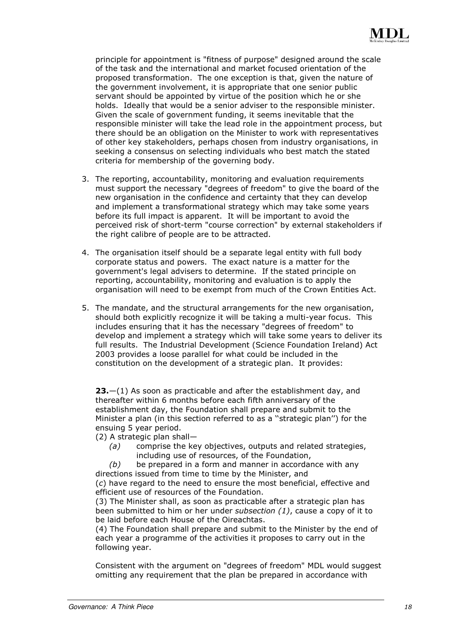principle for appointment is "fitness of purpose" designed around the scale of the task and the international and market focused orientation of the proposed transformation. The one exception is that, given the nature of the government involvement, it is appropriate that one senior public servant should be appointed by virtue of the position which he or she holds. Ideally that would be a senior adviser to the responsible minister. Given the scale of government funding, it seems inevitable that the responsible minister will take the lead role in the appointment process, but there should be an obligation on the Minister to work with representatives of other key stakeholders, perhaps chosen from industry organisations, in seeking a consensus on selecting individuals who best match the stated criteria for membership of the governing body.

- 3. The reporting, accountability, monitoring and evaluation requirements must support the necessary "degrees of freedom" to give the board of the new organisation in the confidence and certainty that they can develop and implement a transformational strategy which may take some years before its full impact is apparent. It will be important to avoid the perceived risk of short-term "course correction" by external stakeholders if the right calibre of people are to be attracted.
- 4. The organisation itself should be a separate legal entity with full body corporate status and powers. The exact nature is a matter for the government's legal advisers to determine. If the stated principle on reporting, accountability, monitoring and evaluation is to apply the organisation will need to be exempt from much of the Crown Entities Act.
- 5. The mandate, and the structural arrangements for the new organisation, should both explicitly recognize it will be taking a multi-year focus. This includes ensuring that it has the necessary "degrees of freedom" to develop and implement a strategy which will take some years to deliver its full results. The Industrial Development (Science Foundation Ireland) Act 2003 provides a loose parallel for what could be included in the constitution on the development of a strategic plan. It provides:

**23.**—(1) As soon as practicable and after the establishment day, and thereafter within 6 months before each fifth anniversary of the establishment day, the Foundation shall prepare and submit to the Minister a plan (in this section referred to as a ''strategic plan'') for the ensuing 5 year period.

(2) A strategic plan shall—

(a) comprise the key objectives, outputs and related strategies, including use of resources, of the Foundation,

 $(b)$  be prepared in a form and manner in accordance with any directions issued from time to time by the Minister, and (c) have regard to the need to ensure the most beneficial, effective and efficient use of resources of the Foundation.

(3) The Minister shall, as soon as practicable after a strategic plan has been submitted to him or her under subsection (1), cause a copy of it to be laid before each House of the Oireachtas.

(4) The Foundation shall prepare and submit to the Minister by the end of each year a programme of the activities it proposes to carry out in the following year.

Consistent with the argument on "degrees of freedom" MDL would suggest omitting any requirement that the plan be prepared in accordance with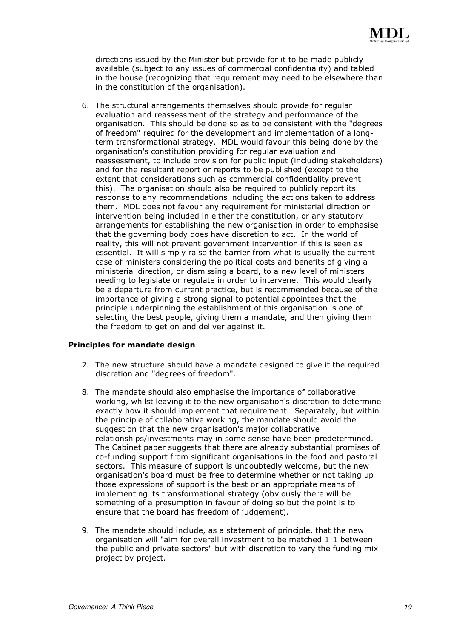directions issued by the Minister but provide for it to be made publicly available (subject to any issues of commercial confidentiality) and tabled in the house (recognizing that requirement may need to be elsewhere than in the constitution of the organisation).

6. The structural arrangements themselves should provide for regular evaluation and reassessment of the strategy and performance of the organisation. This should be done so as to be consistent with the "degrees of freedom" required for the development and implementation of a longterm transformational strategy. MDL would favour this being done by the organisation's constitution providing for regular evaluation and reassessment, to include provision for public input (including stakeholders) and for the resultant report or reports to be published (except to the extent that considerations such as commercial confidentiality prevent this). The organisation should also be required to publicly report its response to any recommendations including the actions taken to address them. MDL does not favour any requirement for ministerial direction or intervention being included in either the constitution, or any statutory arrangements for establishing the new organisation in order to emphasise that the governing body does have discretion to act. In the world of reality, this will not prevent government intervention if this is seen as essential. It will simply raise the barrier from what is usually the current case of ministers considering the political costs and benefits of giving a ministerial direction, or dismissing a board, to a new level of ministers needing to legislate or regulate in order to intervene. This would clearly be a departure from current practice, but is recommended because of the importance of giving a strong signal to potential appointees that the principle underpinning the establishment of this organisation is one of selecting the best people, giving them a mandate, and then giving them the freedom to get on and deliver against it.

#### Principles for mandate design

- 7. The new structure should have a mandate designed to give it the required discretion and "degrees of freedom".
- 8. The mandate should also emphasise the importance of collaborative working, whilst leaving it to the new organisation's discretion to determine exactly how it should implement that requirement. Separately, but within the principle of collaborative working, the mandate should avoid the suggestion that the new organisation's major collaborative relationships/investments may in some sense have been predetermined. The Cabinet paper suggests that there are already substantial promises of co-funding support from significant organisations in the food and pastoral sectors. This measure of support is undoubtedly welcome, but the new organisation's board must be free to determine whether or not taking up those expressions of support is the best or an appropriate means of implementing its transformational strategy (obviously there will be something of a presumption in favour of doing so but the point is to ensure that the board has freedom of judgement).
- 9. The mandate should include, as a statement of principle, that the new organisation will "aim for overall investment to be matched 1:1 between the public and private sectors" but with discretion to vary the funding mix project by project.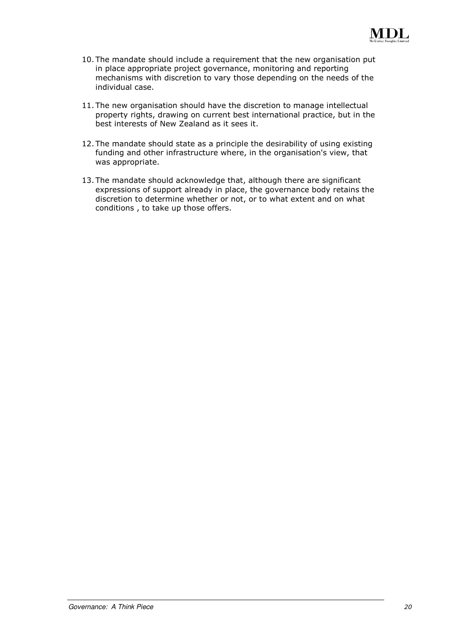- 10. The mandate should include a requirement that the new organisation put in place appropriate project governance, monitoring and reporting mechanisms with discretion to vary those depending on the needs of the individual case.
- 11. The new organisation should have the discretion to manage intellectual property rights, drawing on current best international practice, but in the best interests of New Zealand as it sees it.
- 12. The mandate should state as a principle the desirability of using existing funding and other infrastructure where, in the organisation's view, that was appropriate.
- 13. The mandate should acknowledge that, although there are significant expressions of support already in place, the governance body retains the discretion to determine whether or not, or to what extent and on what conditions , to take up those offers.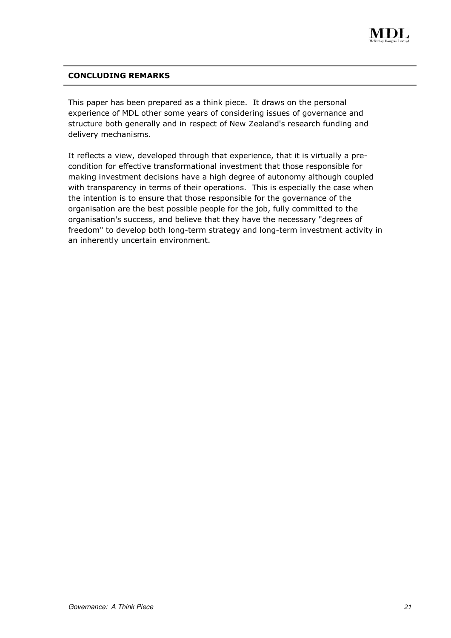

#### CONCLUDING REMARKS

This paper has been prepared as a think piece. It draws on the personal experience of MDL other some years of considering issues of governance and structure both generally and in respect of New Zealand's research funding and delivery mechanisms.

It reflects a view, developed through that experience, that it is virtually a precondition for effective transformational investment that those responsible for making investment decisions have a high degree of autonomy although coupled with transparency in terms of their operations. This is especially the case when the intention is to ensure that those responsible for the governance of the organisation are the best possible people for the job, fully committed to the organisation's success, and believe that they have the necessary "degrees of freedom" to develop both long-term strategy and long-term investment activity in an inherently uncertain environment.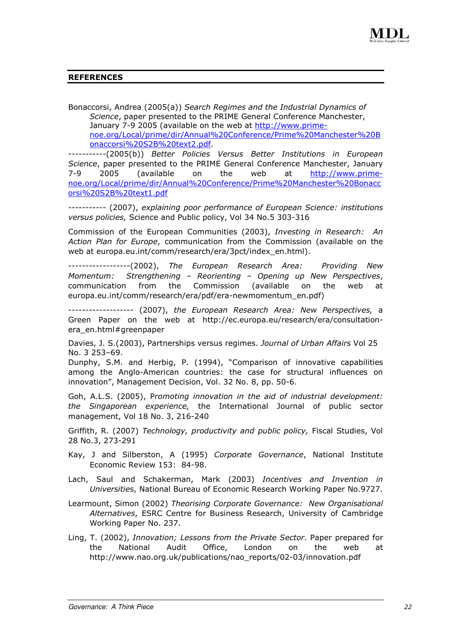#### REFERENCES

Bonaccorsi, Andrea (2005(a)) Search Regimes and the Industrial Dynamics of Science, paper presented to the PRIME General Conference Manchester, January 7-9 2005 (available on the web at http://www.primenoe.org/Local/prime/dir/Annual%20Conference/Prime%20Manchester%20B onaccorsi%20S2B%20text2.pdf.

-----------(2005(b)) Better Policies Versus Better Institutions in European Science, paper presented to the PRIME General Conference Manchester, January 7-9 2005 (available on the web at http://www.primenoe.org/Local/prime/dir/Annual%20Conference/Prime%20Manchester%20Bonacc orsi%20S2B%20text1.pdf

----------- (2007), explaining poor performance of European Science: institutions versus policies, Science and Public policy, Vol 34 No.5 303-316

Commission of the European Communities (2003), Investing in Research: An Action Plan for Europe, communication from the Commission (available on the web at europa.eu.int/comm/research/era/3pct/index\_en.html).

------------------(2002), The European Research Area: Providing New Momentum: Strengthening – Reorienting – Opening up New Perspectives, communication from the Commission (available on the web at europa.eu.int/comm/research/era/pdf/era-newmomentum\_en.pdf)

------------------- (2007), the European Research Area: New Perspectives, a Green Paper on the web at http://ec.europa.eu/research/era/consultationera\_en.html#greenpaper

Davies, J. S.(2003), Partnerships versus regimes. Journal of Urban Affairs Vol 25 No. 3 253–69.

Dunphy, S.M. and Herbig, P. (1994), "Comparison of innovative capabilities among the Anglo-American countries: the case for structural influences on innovation", Management Decision, Vol. 32 No. 8, pp. 50-6.

Goh, A.L.S. (2005), Promoting innovation in the aid of industrial development: the Singaporean experience, the International Journal of public sector management, Vol 18 No. 3, 216-240

Griffith, R. (2007) Technology, productivity and public policy, Fiscal Studies, Vol 28 No.3, 273-291

- Kay, J and Silberston, A (1995) Corporate Governance, National Institute Economic Review 153: 84-98.
- Lach, Saul and Schakerman, Mark (2003) Incentives and Invention in Universities, National Bureau of Economic Research Working Paper No.9727.
- Learmount, Simon (2002) Theorising Corporate Governance: New Organisational Alternatives, ESRC Centre for Business Research, University of Cambridge Working Paper No. 237.
- Ling, T. (2002), Innovation; Lessons from the Private Sector. Paper prepared for the National Audit Office, London on the web at http://www.nao.org.uk/publications/nao\_reports/02-03/innovation.pdf